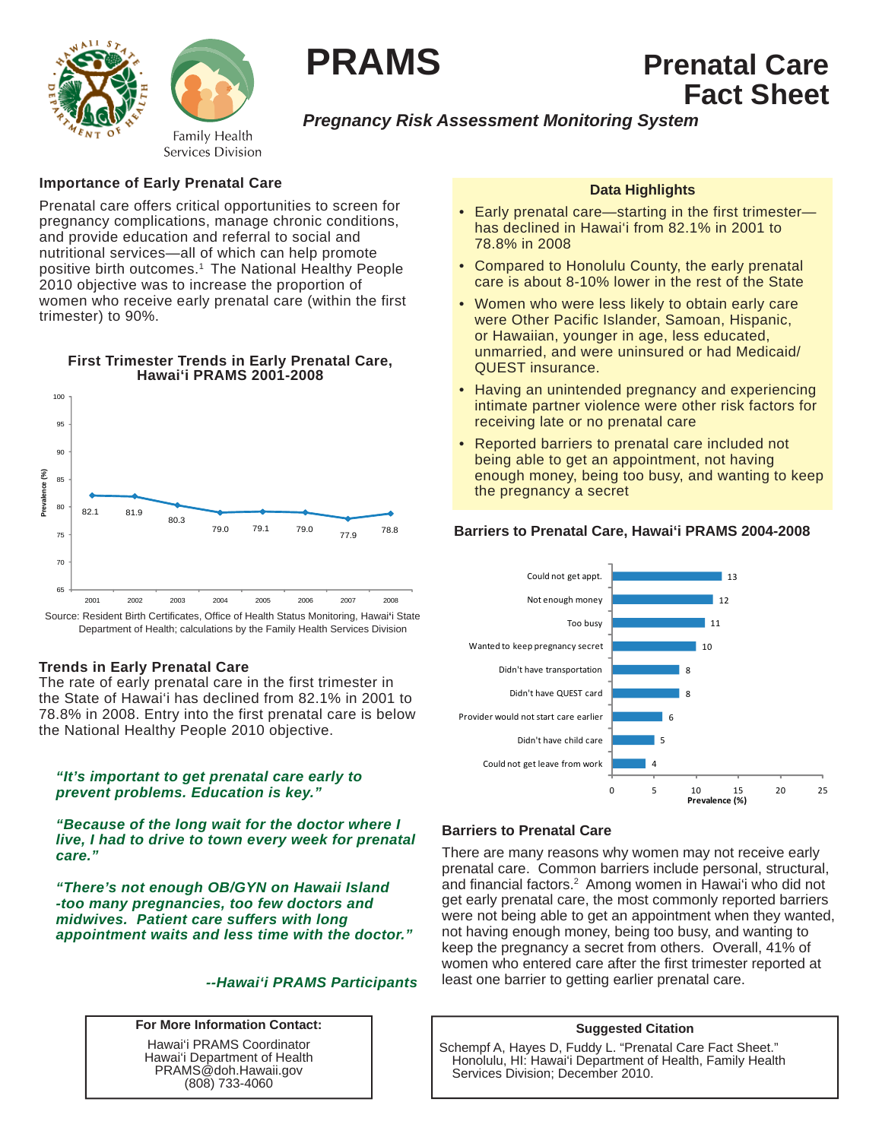

**PRAMS Prenatal Care**

# *Pregnancy Risk Assessment Monitoring System*

# **Importance of Early Prenatal Care**

Prenatal care offers critical opportunities to screen for pregnancy complications, manage chronic conditions, and provide education and referral to social and nutritional services—all of which can help promote positive birth outcomes.1 The National Healthy People 2010 objective was to increase the proportion of women who receive early prenatal care (within the first trimester) to 90%.

**First Trimester Trends in Early Prenatal Care,**



Department of Health; calculations by the Family Health Services Division

# **Trends in Early Prenatal Care**

The rate of early prenatal care in the first trimester in the State of Hawai'i has declined from 82.1% in 2001 to 78.8% in 2008. Entry into the first prenatal care is below the National Healthy People 2010 objective.

#### *"It's important to get prenatal care early to prevent problems. Education is key."*

*"Because of the long wait for the doctor where I live, I had to drive to town every week for prenatal care."* 

*"There's not enough OB/GYN on Hawaii Island -too many pregnancies, too few doctors and midwives. Patient care suffers with long appointment waits and less time with the doctor."* 

# *--Hawai'i PRAMS Participants*

#### **For More Information Contact:**

Hawai'i PRAMS Coordinator Hawai'i Department of Health PRAMS@doh.Hawaii.gov (808) 733-4060

### **Data Highlights**

 **Fact Sheet**

- Early prenatal care—starting in the first trimester has declined in Hawai'i from 82.1% in 2001 to 78.8% in 2008
- Compared to Honolulu County, the early prenatal care is about 8-10% lower in the rest of the State
- Women who were less likely to obtain early care were Other Pacific Islander, Samoan, Hispanic, or Hawaiian, younger in age, less educated, unmarried, and were uninsured or had Medicaid/ QUEST insurance.
- Having an unintended pregnancy and experiencing intimate partner violence were other risk factors for receiving late or no prenatal care
- Reported barriers to prenatal care included not being able to get an appointment, not having enough money, being too busy, and wanting to keep the pregnancy a secret



# **Barriers to Prenatal Care, Hawai'i PRAMS 2004-2008**

# **Barriers to Prenatal Care**

There are many reasons why women may not receive early prenatal care. Common barriers include personal, structural, and financial factors.<sup>2</sup> Among women in Hawai'i who did not get early prenatal care, the most commonly reported barriers were not being able to get an appointment when they wanted, not having enough money, being too busy, and wanting to keep the pregnancy a secret from others. Overall, 41% of women who entered care after the first trimester reported at least one barrier to getting earlier prenatal care.

#### **Suggested Citation**

Schempf A, Hayes D, Fuddy L. "Prenatal Care Fact Sheet." Honolulu, HI: Hawai'i Department of Health, Family Health Services Division; December 2010.